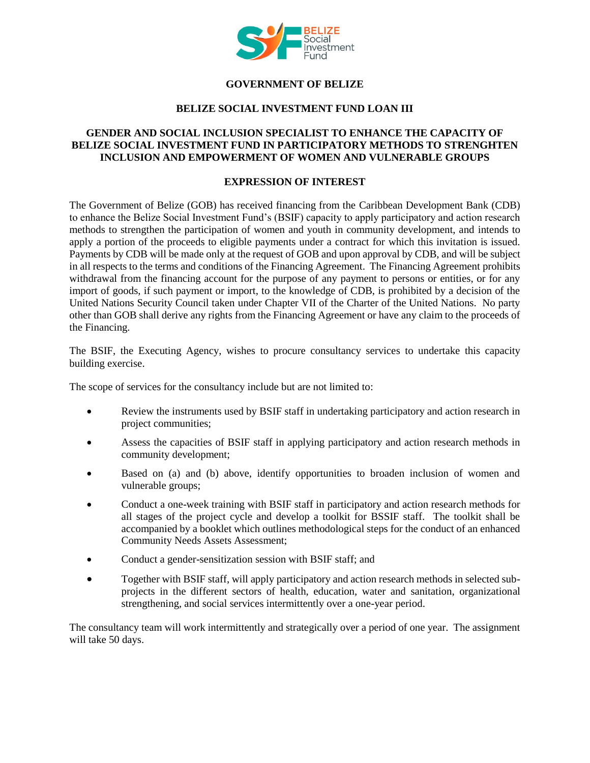

# **GOVERNMENT OF BELIZE**

## **BELIZE SOCIAL INVESTMENT FUND LOAN III**

## **GENDER AND SOCIAL INCLUSION SPECIALIST TO ENHANCE THE CAPACITY OF BELIZE SOCIAL INVESTMENT FUND IN PARTICIPATORY METHODS TO STRENGHTEN INCLUSION AND EMPOWERMENT OF WOMEN AND VULNERABLE GROUPS**

#### **EXPRESSION OF INTEREST**

The Government of Belize (GOB) has received financing from the Caribbean Development Bank (CDB) to enhance the Belize Social Investment Fund's (BSIF) capacity to apply participatory and action research methods to strengthen the participation of women and youth in community development, and intends to apply a portion of the proceeds to eligible payments under a contract for which this invitation is issued. Payments by CDB will be made only at the request of GOB and upon approval by CDB, and will be subject in all respects to the terms and conditions of the Financing Agreement. The Financing Agreement prohibits withdrawal from the financing account for the purpose of any payment to persons or entities, or for any import of goods, if such payment or import, to the knowledge of CDB, is prohibited by a decision of the United Nations Security Council taken under Chapter VII of the Charter of the United Nations. No party other than GOB shall derive any rights from the Financing Agreement or have any claim to the proceeds of the Financing.

The BSIF, the Executing Agency, wishes to procure consultancy services to undertake this capacity building exercise.

The scope of services for the consultancy include but are not limited to:

- Review the instruments used by BSIF staff in undertaking participatory and action research in project communities;
- Assess the capacities of BSIF staff in applying participatory and action research methods in community development;
- Based on (a) and (b) above, identify opportunities to broaden inclusion of women and vulnerable groups;
- Conduct a one-week training with BSIF staff in participatory and action research methods for all stages of the project cycle and develop a toolkit for BSSIF staff. The toolkit shall be accompanied by a booklet which outlines methodological steps for the conduct of an enhanced Community Needs Assets Assessment;
- Conduct a gender-sensitization session with BSIF staff; and
- Together with BSIF staff, will apply participatory and action research methods in selected subprojects in the different sectors of health, education, water and sanitation, organizational strengthening, and social services intermittently over a one-year period.

The consultancy team will work intermittently and strategically over a period of one year. The assignment will take 50 days.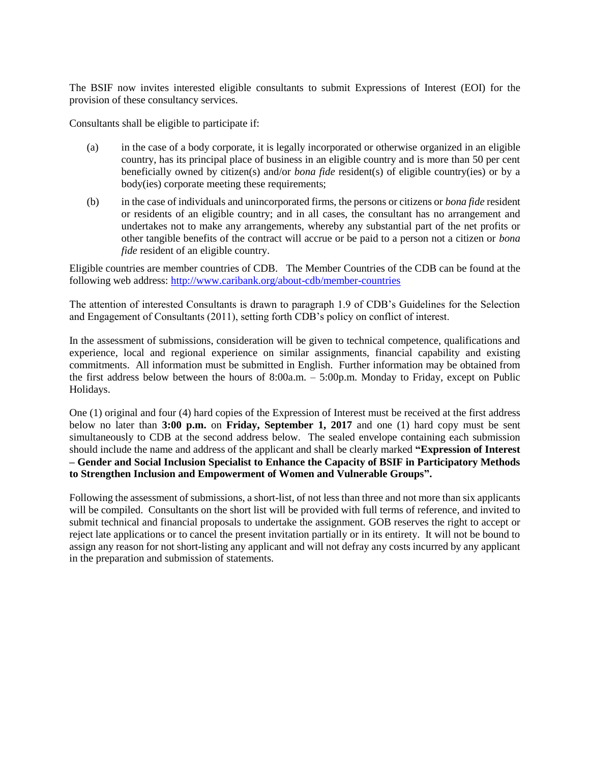The BSIF now invites interested eligible consultants to submit Expressions of Interest (EOI) for the provision of these consultancy services.

Consultants shall be eligible to participate if:

- (a) in the case of a body corporate, it is legally incorporated or otherwise organized in an eligible country, has its principal place of business in an eligible country and is more than 50 per cent beneficially owned by citizen(s) and/or *bona fide* resident(s) of eligible country(ies) or by a body(ies) corporate meeting these requirements;
- (b) in the case of individuals and unincorporated firms, the persons or citizens or *bona fide* resident or residents of an eligible country; and in all cases, the consultant has no arrangement and undertakes not to make any arrangements, whereby any substantial part of the net profits or other tangible benefits of the contract will accrue or be paid to a person not a citizen or *bona fide* resident of an eligible country.

Eligible countries are member countries of CDB. The Member Countries of the CDB can be found at the following web address:<http://www.caribank.org/about-cdb/member-countries>

The attention of interested Consultants is drawn to paragraph 1.9 of CDB's Guidelines for the Selection and Engagement of Consultants (2011), setting forth CDB's policy on conflict of interest.

In the assessment of submissions, consideration will be given to technical competence, qualifications and experience, local and regional experience on similar assignments, financial capability and existing commitments. All information must be submitted in English. Further information may be obtained from the first address below between the hours of 8:00a.m. – 5:00p.m. Monday to Friday, except on Public Holidays.

One (1) original and four (4) hard copies of the Expression of Interest must be received at the first address below no later than **3:00 p.m.** on **Friday, September 1, 2017** and one (1) hard copy must be sent simultaneously to CDB at the second address below. The sealed envelope containing each submission should include the name and address of the applicant and shall be clearly marked **"Expression of Interest – Gender and Social Inclusion Specialist to Enhance the Capacity of BSIF in Participatory Methods to Strengthen Inclusion and Empowerment of Women and Vulnerable Groups".**

Following the assessment of submissions, a short-list, of not less than three and not more than six applicants will be compiled. Consultants on the short list will be provided with full terms of reference, and invited to submit technical and financial proposals to undertake the assignment. GOB reserves the right to accept or reject late applications or to cancel the present invitation partially or in its entirety. It will not be bound to assign any reason for not short-listing any applicant and will not defray any costs incurred by any applicant in the preparation and submission of statements.